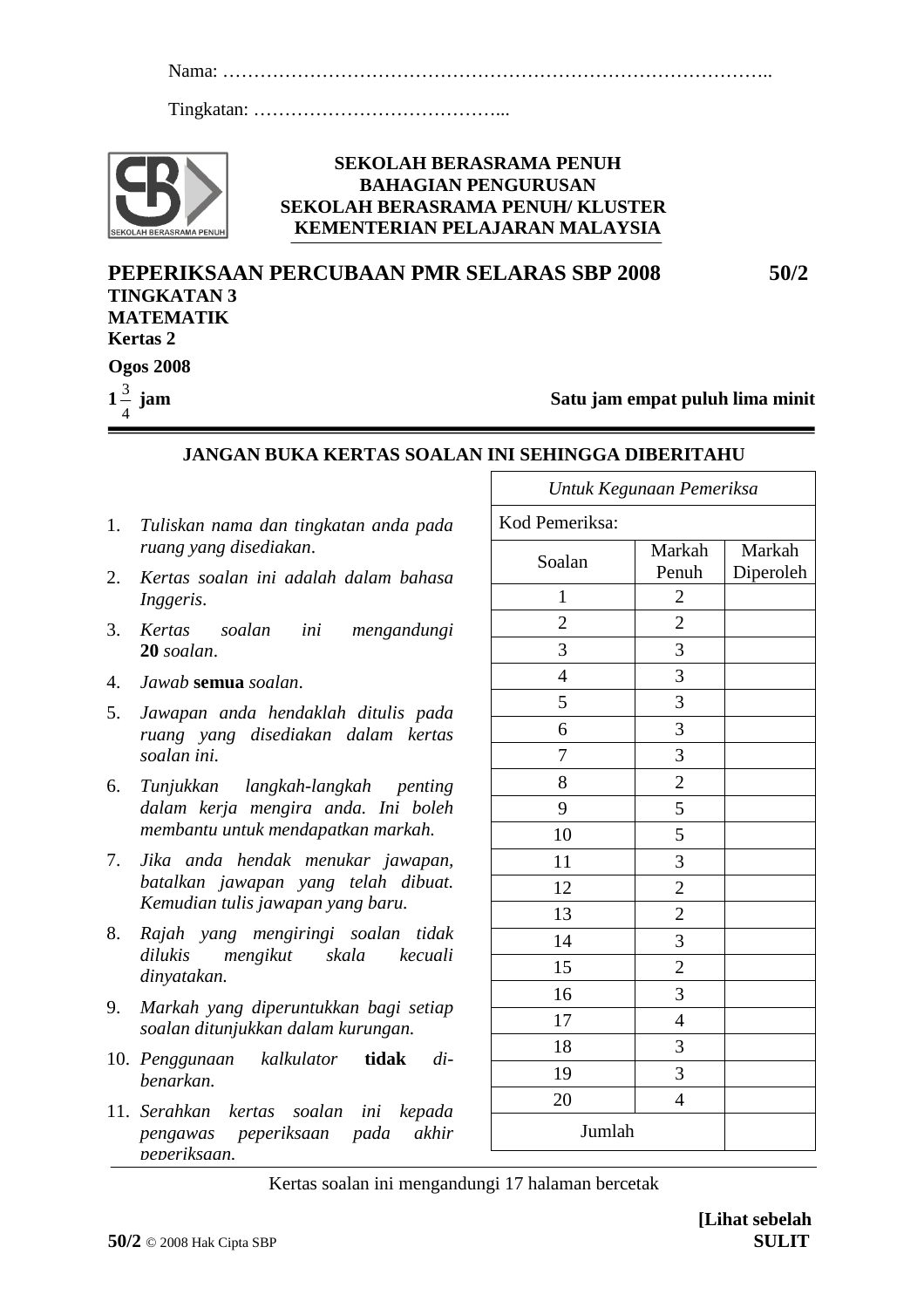1 Nama: ……………………………………………………………………………..

Tingkatan: …………………………………...



#### **SEKOLAH BERASRAMA PENUH BAHAGIAN PENGURUSAN SEKOLAH BERASRAMA PENUH/ KLUSTER KEMENTERIAN PELAJARAN MALAYSIA**

**PEPERIKSAAN PERCUBAAN PMR SELARAS SBP 2008 50/2 TINGKATAN 3 MATEMATIK Kertas 2 Ogos 2008** 3

**1** 4 **jam Satu jam empat puluh lima minit**

### **JANGAN BUKA KERTAS SOALAN INI SEHINGGA DIBERITAHU**

- 1. *Tuliskan nama dan tingkatan anda pada ruang yang disediakan*.
- 2. *Kertas soalan ini adalah dalam bahasa Inggeris*.
- 3. *Kertas soalan ini mengandungi* **20** *soalan*.
- 4. *Jawab* **semua** *soalan*.
- 5. *Jawapan anda hendaklah ditulis pada ruang yang disediakan dalam kertas soalan ini.*
- 6. *Tunjukkan langkah-langkah penting dalam kerja mengira anda. Ini boleh membantu untuk mendapatkan markah.*
- 7. *Jika anda hendak menukar jawapan, batalkan jawapan yang telah dibuat. Kemudian tulis jawapan yang baru.*
- 8. *Rajah yang mengiringi soalan tidak dilukis mengikut skala kecuali dinyatakan.*
- 9. *Markah yang diperuntukkan bagi setiap soalan ditunjukkan dalam kurungan.*
- 10. *Penggunaan kalkulator* **tidak** *dibenarkan.*
- 11. *Serahkan kertas soalan ini kepada pengawas peperiksaan pada akhir peperiksaan.*

| Untuk Kegunaan Pemeriksa |                         |                     |  |  |  |  |  |  |
|--------------------------|-------------------------|---------------------|--|--|--|--|--|--|
| Kod Pemeriksa:           |                         |                     |  |  |  |  |  |  |
| Soalan                   | Markah<br>Penuh         | Markah<br>Diperoleh |  |  |  |  |  |  |
| $\mathbf 1$              | $\overline{c}$          |                     |  |  |  |  |  |  |
| $\overline{c}$           | $\overline{\mathbf{c}}$ |                     |  |  |  |  |  |  |
| 3                        | 3                       |                     |  |  |  |  |  |  |
| $\overline{4}$           | 3                       |                     |  |  |  |  |  |  |
| 5                        | 3                       |                     |  |  |  |  |  |  |
| 6                        | 3                       |                     |  |  |  |  |  |  |
| 7                        | 3                       |                     |  |  |  |  |  |  |
| 8                        | $\overline{c}$          |                     |  |  |  |  |  |  |
| 9                        | 5                       |                     |  |  |  |  |  |  |
| 10                       | 5                       |                     |  |  |  |  |  |  |
| 11                       | 3                       |                     |  |  |  |  |  |  |
| 12                       | $\overline{c}$          |                     |  |  |  |  |  |  |
| 13                       | $\overline{c}$          |                     |  |  |  |  |  |  |
| 14                       | 3                       |                     |  |  |  |  |  |  |
| 15                       | $\overline{c}$          |                     |  |  |  |  |  |  |
| 16                       | 3                       |                     |  |  |  |  |  |  |
| 17                       | $\overline{4}$          |                     |  |  |  |  |  |  |
| 18                       | 3                       |                     |  |  |  |  |  |  |
| 19                       | 3                       |                     |  |  |  |  |  |  |
| 20                       | $\overline{4}$          |                     |  |  |  |  |  |  |
| Jumlah                   |                         |                     |  |  |  |  |  |  |

Kertas soalan ini mengandungi 17 halaman bercetak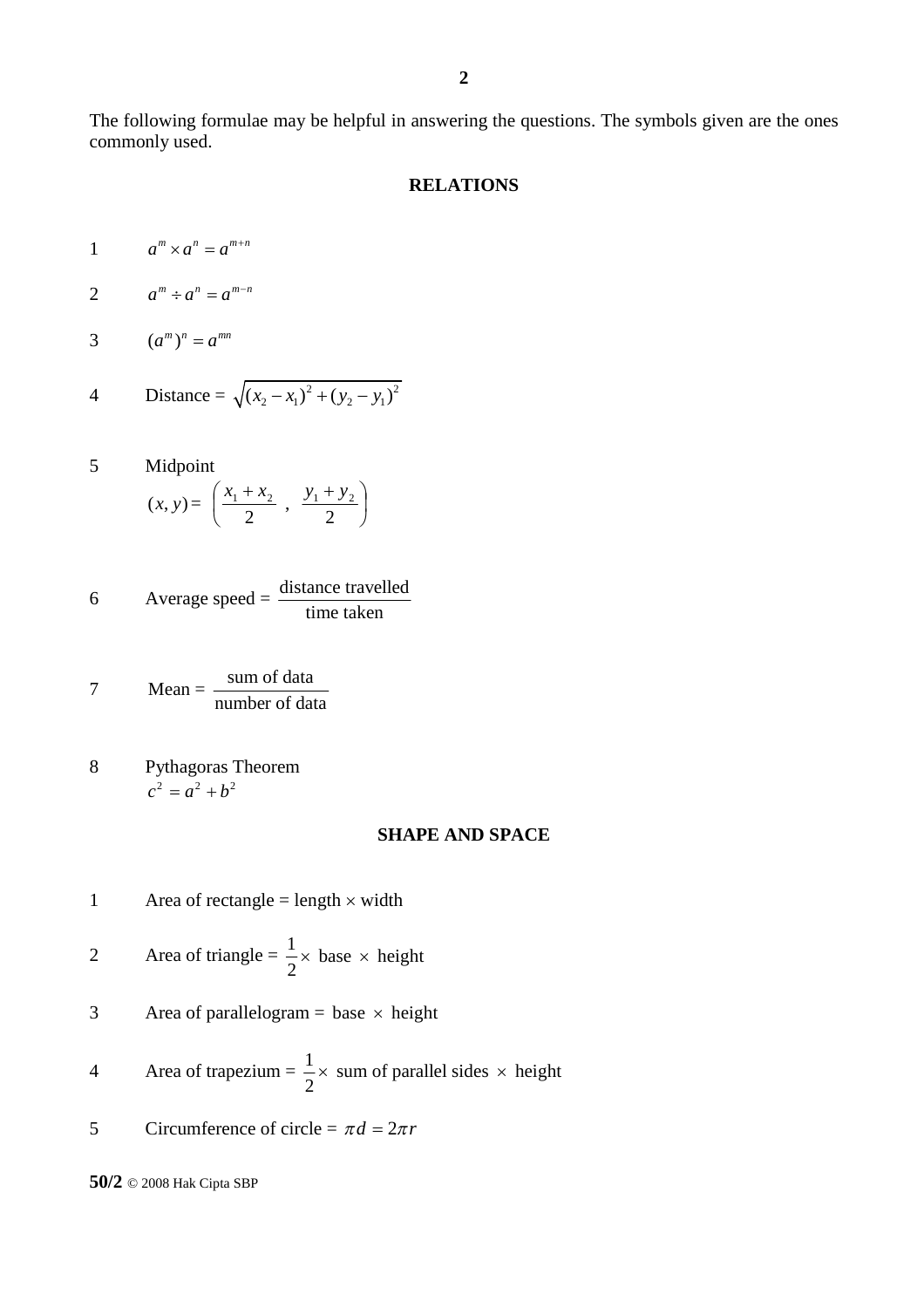The following formulae may be helpful in answering the questions. The symbols given are the ones commonly used.

#### **RELATIONS**

$$
1 \qquad a^m \times a^n = a^{m+n}
$$

$$
2 \qquad a^m \div a^n = a^{m-n}
$$

$$
3 \qquad (a^m)^n = a^{mn}
$$

4 Distance = 
$$
\sqrt{(x_2 - x_1)^2 + (y_2 - y_1)^2}
$$

5 Midpoint

$$
(x, y) = \left(\frac{x_1 + x_2}{2}, \frac{y_1 + y_2}{2}\right)
$$

6 Average speed = 
$$
\frac{\text{distance travelled}}{\text{time taken}}
$$

$$
7 \tMean = \frac{\text{sum of data}}{\text{number of data}}
$$

8 Pythagoras Theorem  $c^2 = a^2 + b^2$ 

#### **SHAPE AND SPACE**

- 1 Area of rectangle = length  $\times$  width
- 2 Area of triangle =  $\frac{1}{2} \times \text{base} \times \text{height}$ 2  $\times$  base  $\times$
- 3 Area of parallelogram = base  $\times$  height
- 4 Area of trapezium =  $\frac{1}{2} \times$  sum of parallel sides  $\times$  height 2  $\times$  sum of parallel sides  $\times$
- 5 Circumference of circle =  $\pi d = 2\pi r$

**50/2** © 2008 Hak Cipta SBP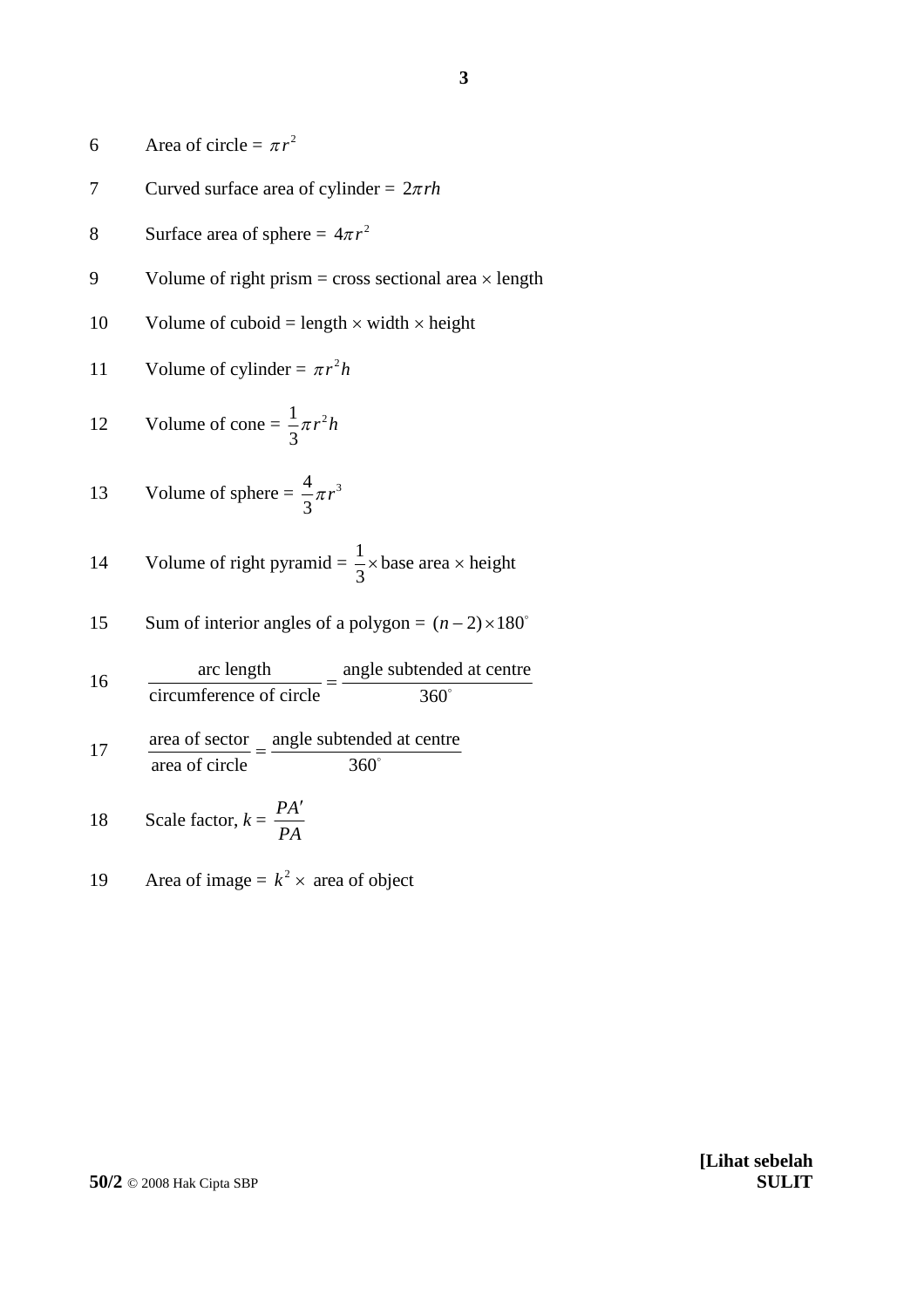6 Area of circle = 
$$
\pi r^2
$$

- 7 Curved surface area of cylinder =  $2\pi rh$
- 8 Surface area of sphere =  $4\pi r^2$
- 9 Volume of right prism = cross sectional area  $\times$  length
- 10 Volume of cuboid = length  $\times$  width  $\times$  height
- 11 Volume of cylinder =  $\pi r^2 h$

12 Volume of cone = 
$$
\frac{1}{3}\pi r^2 h
$$

13 Volume of sphere 
$$
=
$$
  $\frac{4}{3}\pi r^3$ 

14 Volume of right pyramid = 
$$
\frac{1}{3}
$$
 × base area × height

15 Sum of interior angles of a polygon = 
$$
(n-2) \times 180^{\circ}
$$

16 
$$
\frac{\text{arc length}}{\text{circumference of circle}} = \frac{\text{angle subtended at centre}}{360^{\circ}}
$$

$$
17 \t\t \t  $\frac{\text{area of sector}}{\text{area of circle}} = \frac{\text{angle subtended at centre}}{360^{\circ}}$
$$

18 Scale factor, 
$$
k = \frac{PA'}{PA}
$$

19 Area of image =  $k^2 \times$  area of object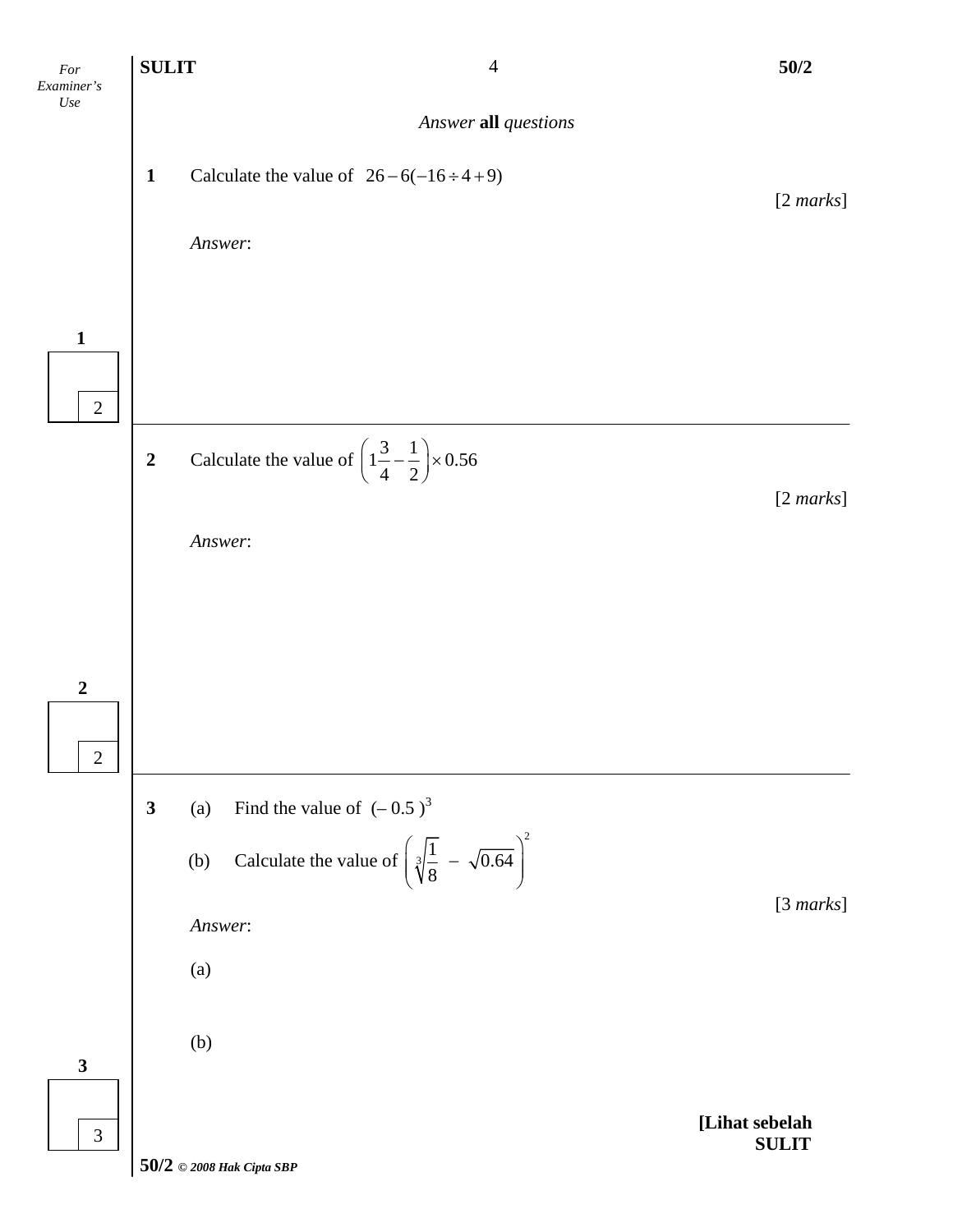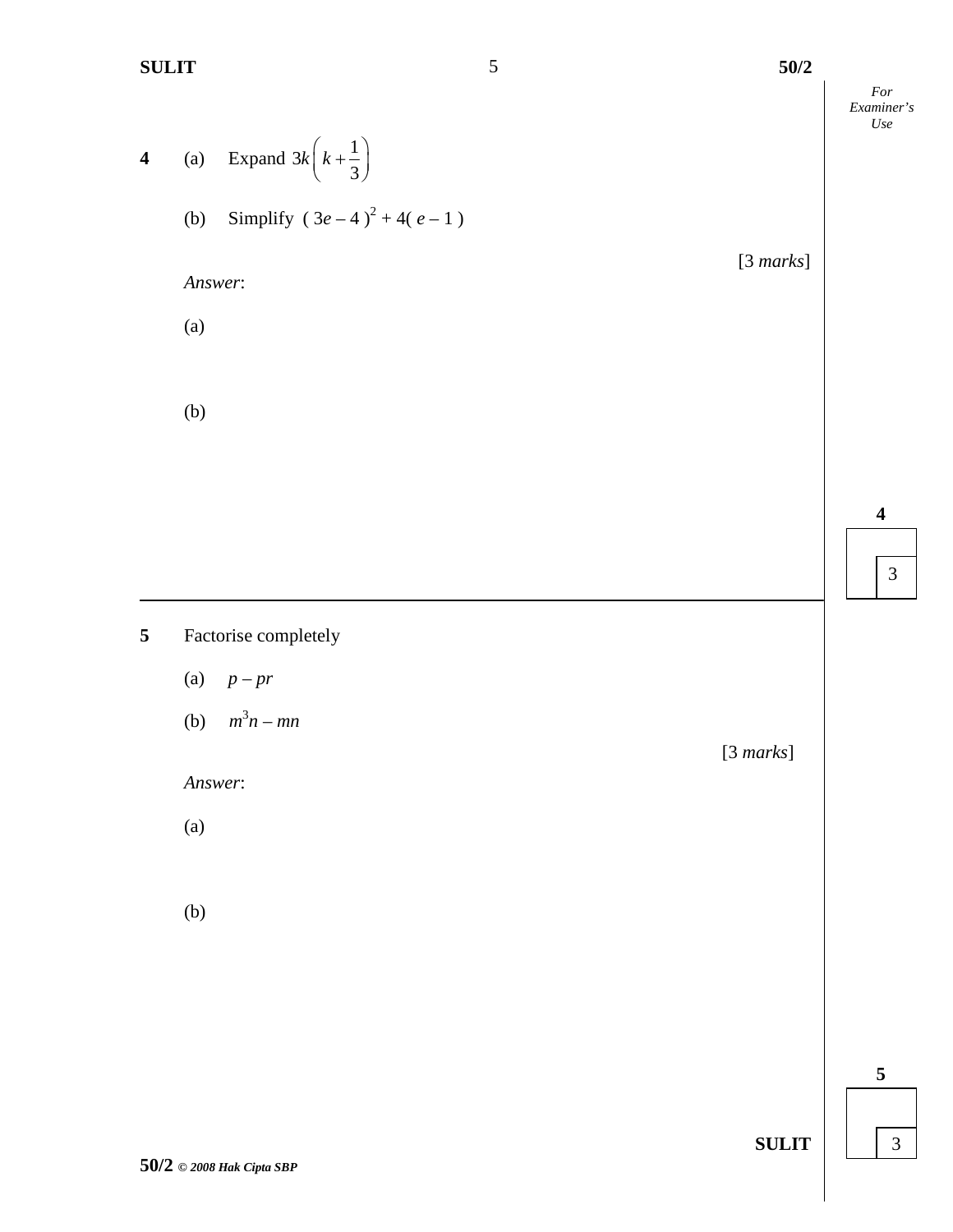**SULIT** 5 50/2

[3 *marks*]

*For Examiner's Use*

**4** (a) Expand  $3k\left(k+\frac{1}{2}\right)$ 3  $k\left(k+\frac{1}{3}\right)$ (b) Simplify  $(3e-4)^2 + 4(e-1)$ 

*Answer*:

(a)

(b)

# **5** Factorise completely

- (a) *p – pr*
- (b)  $m^3 n mn$

*Answer*:

(a)

(b)

[3 *marks*]

**5**

**SULIT**

5

**4**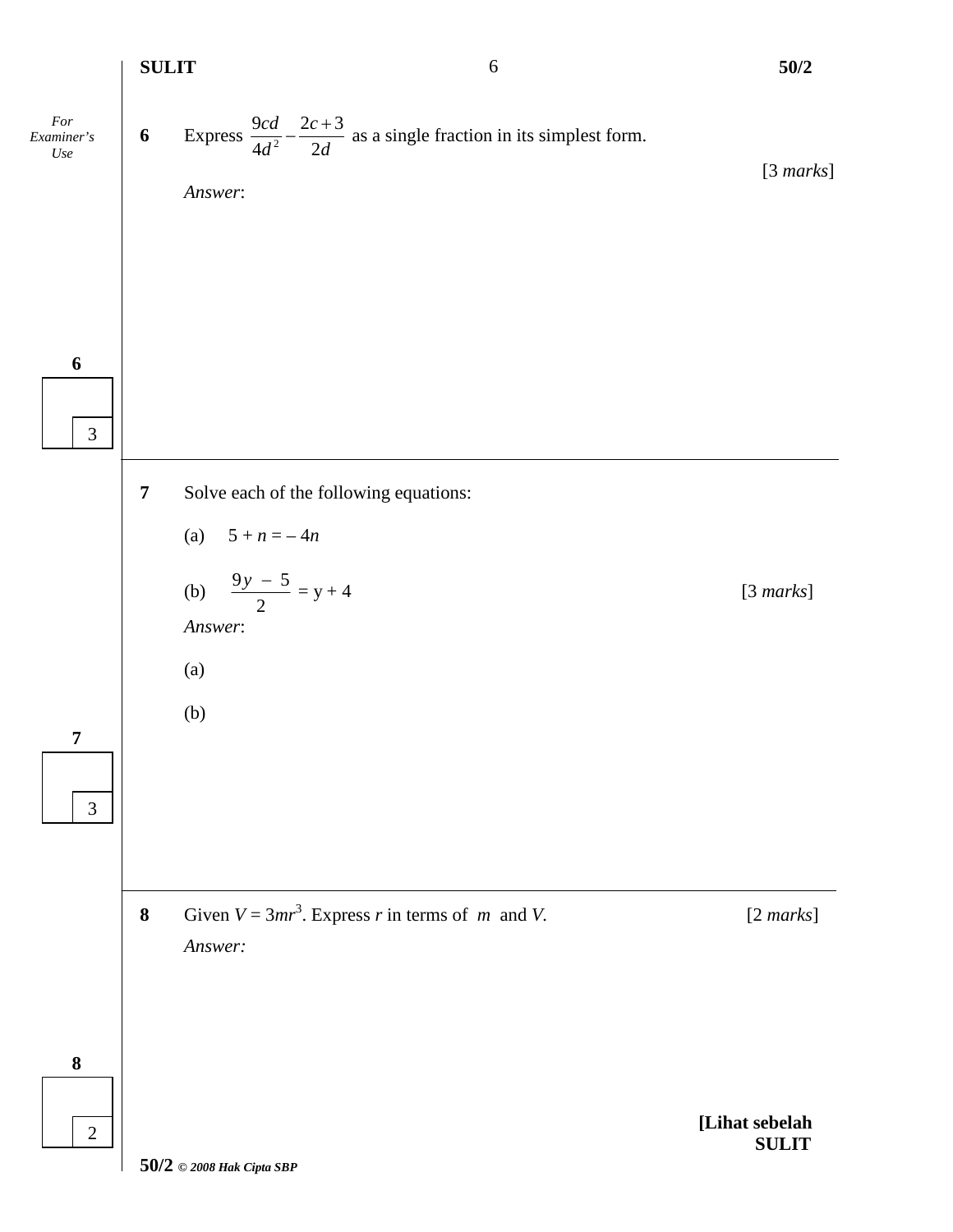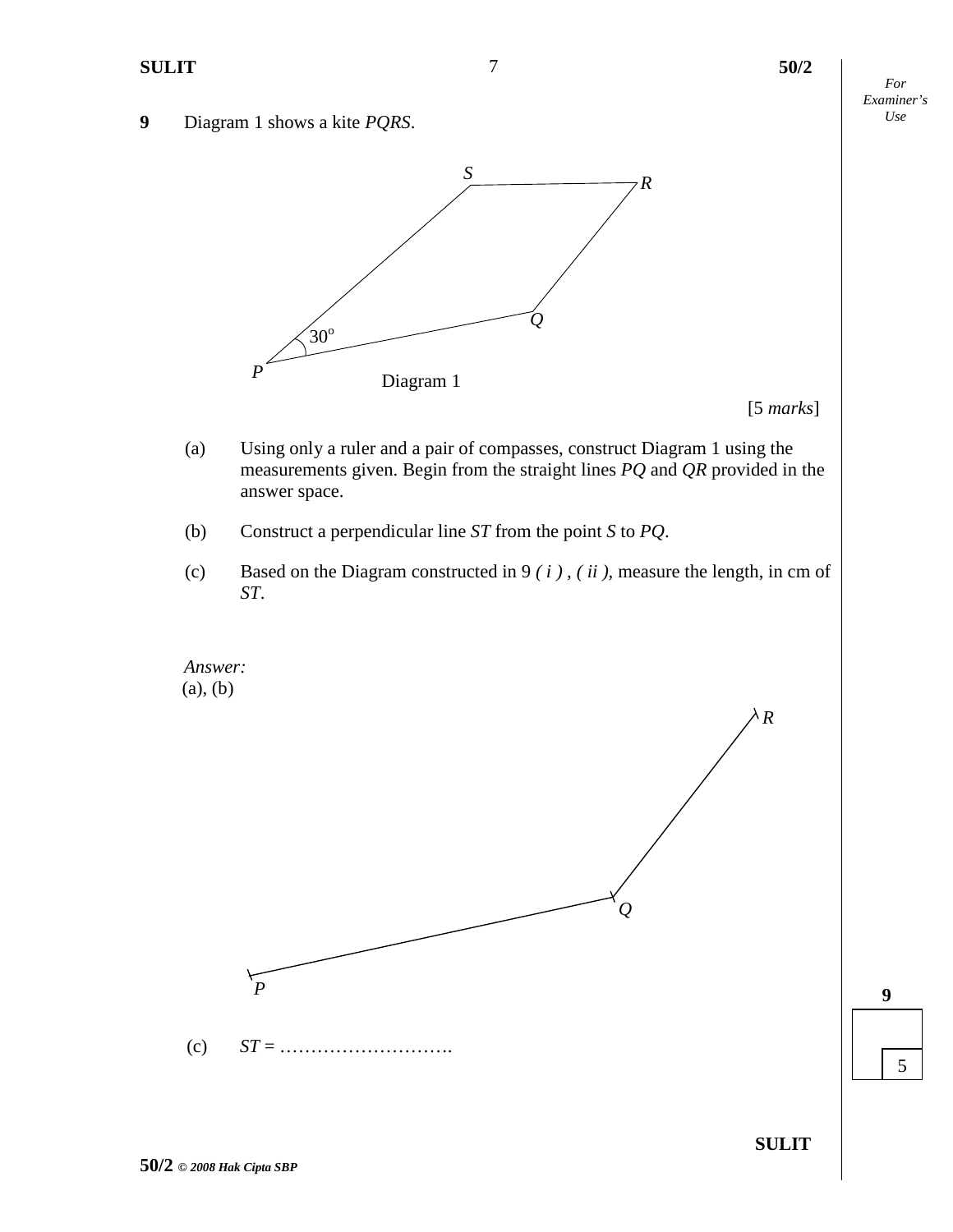- *For Examiner's*
- *Use* **9** Diagram 1 shows a kite *PQRS*.



[5 *marks*]

- (a) Using only a ruler and a pair of compasses, construct Diagram 1 using the measurements given. Begin from the straight lines *PQ* and *QR* provided in the answer space.
- (b) Construct a perpendicular line *ST* from the point *S* to *PQ*.
- (c) Based on the Diagram constructed in 9 *( i ) , ( ii ),* measure the length, in cm of *ST*.



**9**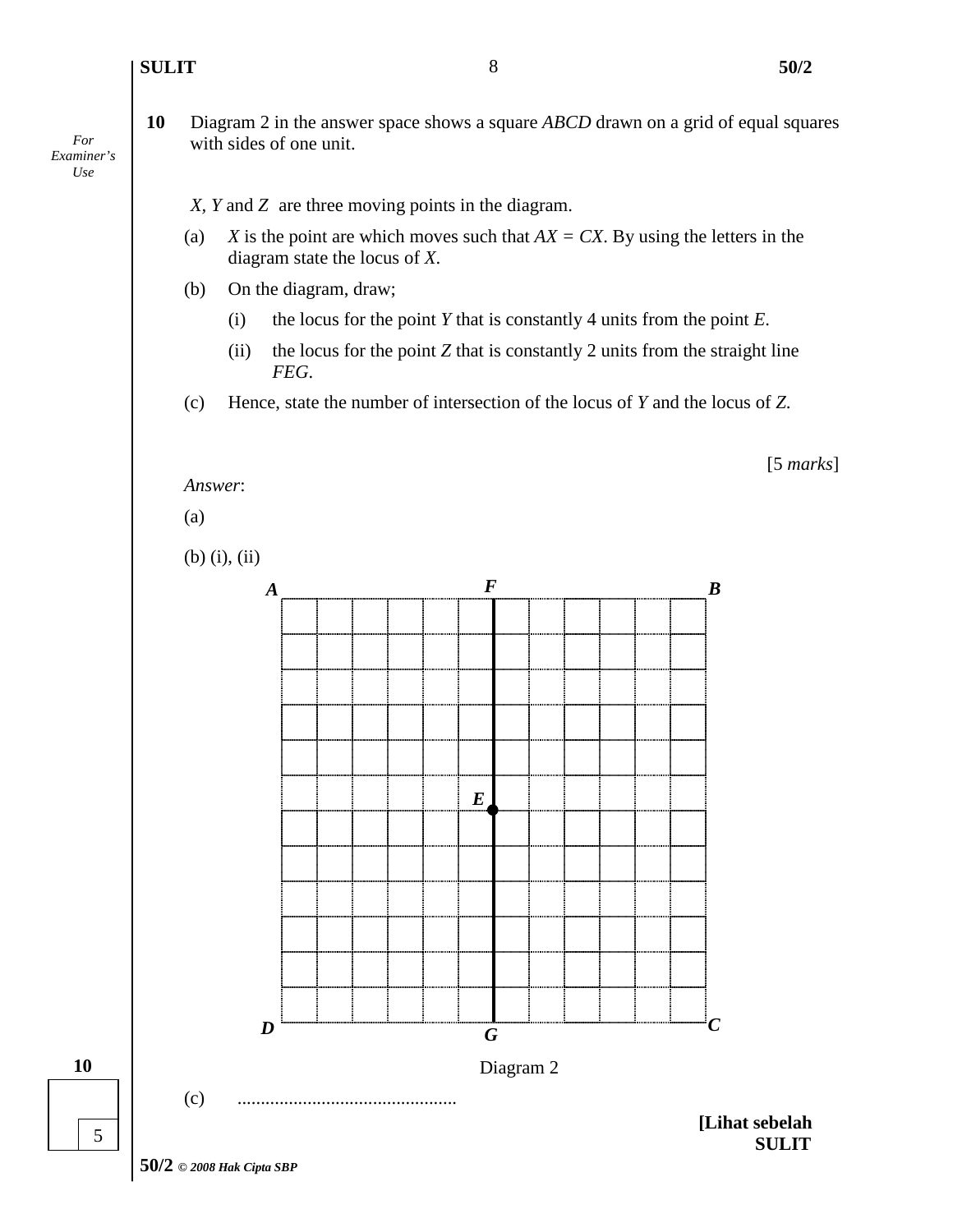#### **SULIT 50/2**

**10** Diagram 2 in the answer space shows a square *ABCD* drawn on a grid of equal squares with sides of one unit.

*X, Y* and *Z* are three moving points in the diagram.

- (a) *X* is the point are which moves such that  $AX = CX$ . By using the letters in the diagram state the locus of *X*.
- (b) On the diagram, draw;
	- (i) the locus for the point *Y* that is constantly 4 units from the point *E*.
	- (ii) the locus for the point *Z* that is constantly 2 units from the straight line *FEG*.
- (c) Hence, state the number of intersection of the locus of *Y* and the locus of *Z*.



**SULIT**

*For Examiner's Use*



**10**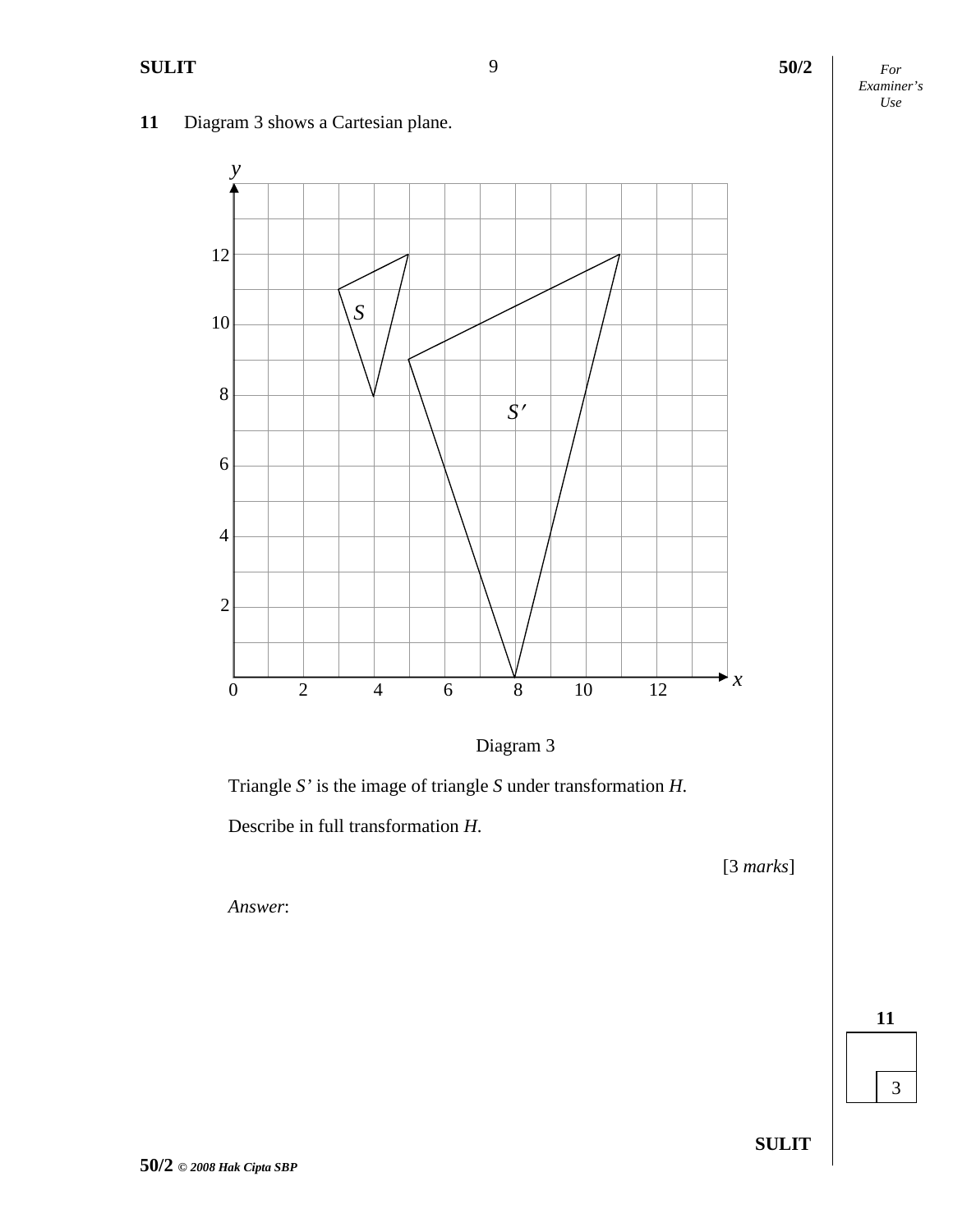

# **11** Diagram 3 shows a Cartesian plane.



Triangle *S'* is the image of triangle *S* under transformation *H*.

Describe in full transformation *H*.

[3 *marks*]

*Answer*:

**50/2** *© 2008 Hak Cipta SBP*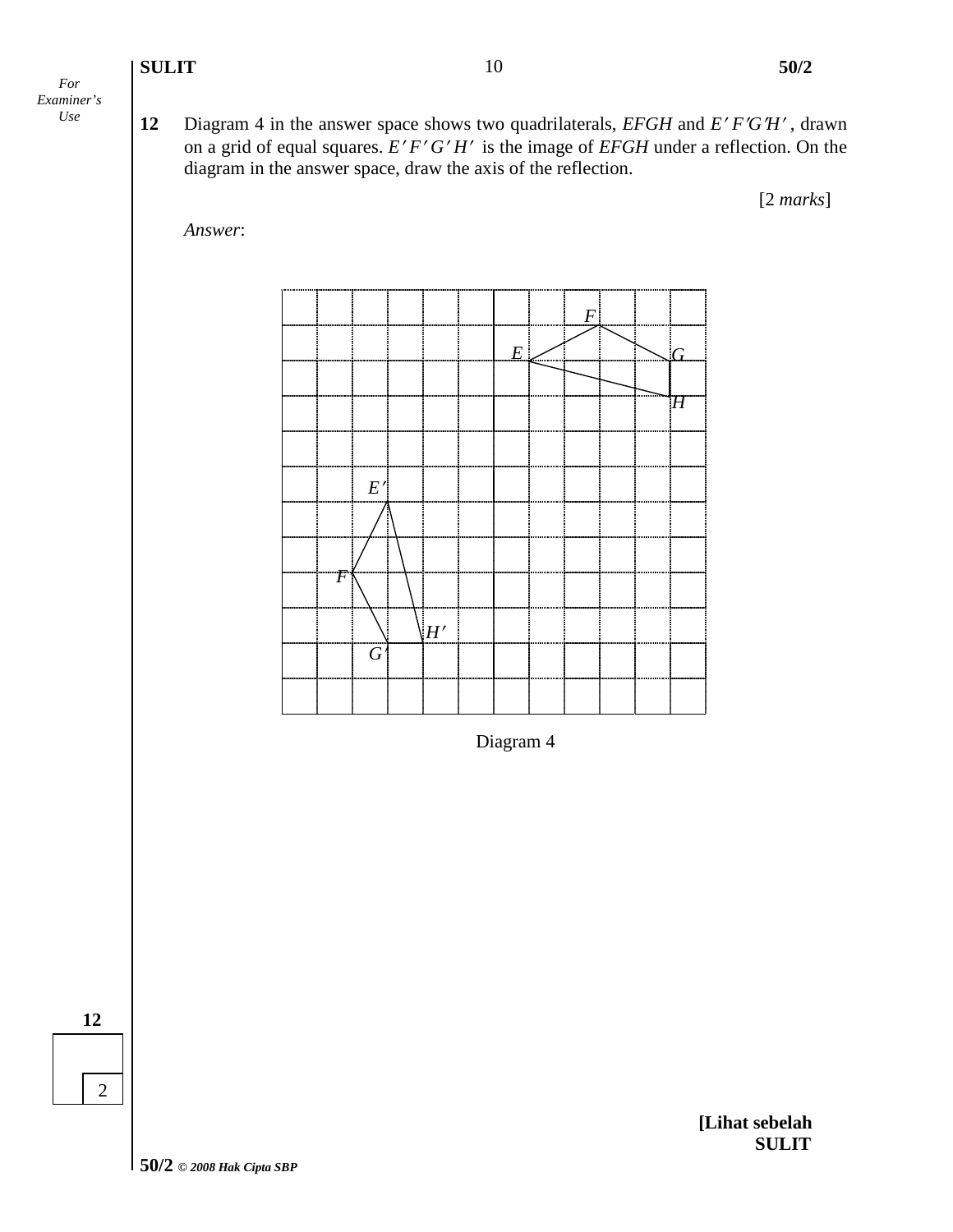- *For Examiner's*
- *Use* **12** Diagram 4 in the answer space shows two quadrilaterals, *EFGH* and *E FGH* , drawn on a grid of equal squares. *E' F' G' H'* is the image of *EFGH* under a reflection. On the diagram in the answer space, draw the axis of the reflection.

[2 *marks*]





Diagram 4

**12**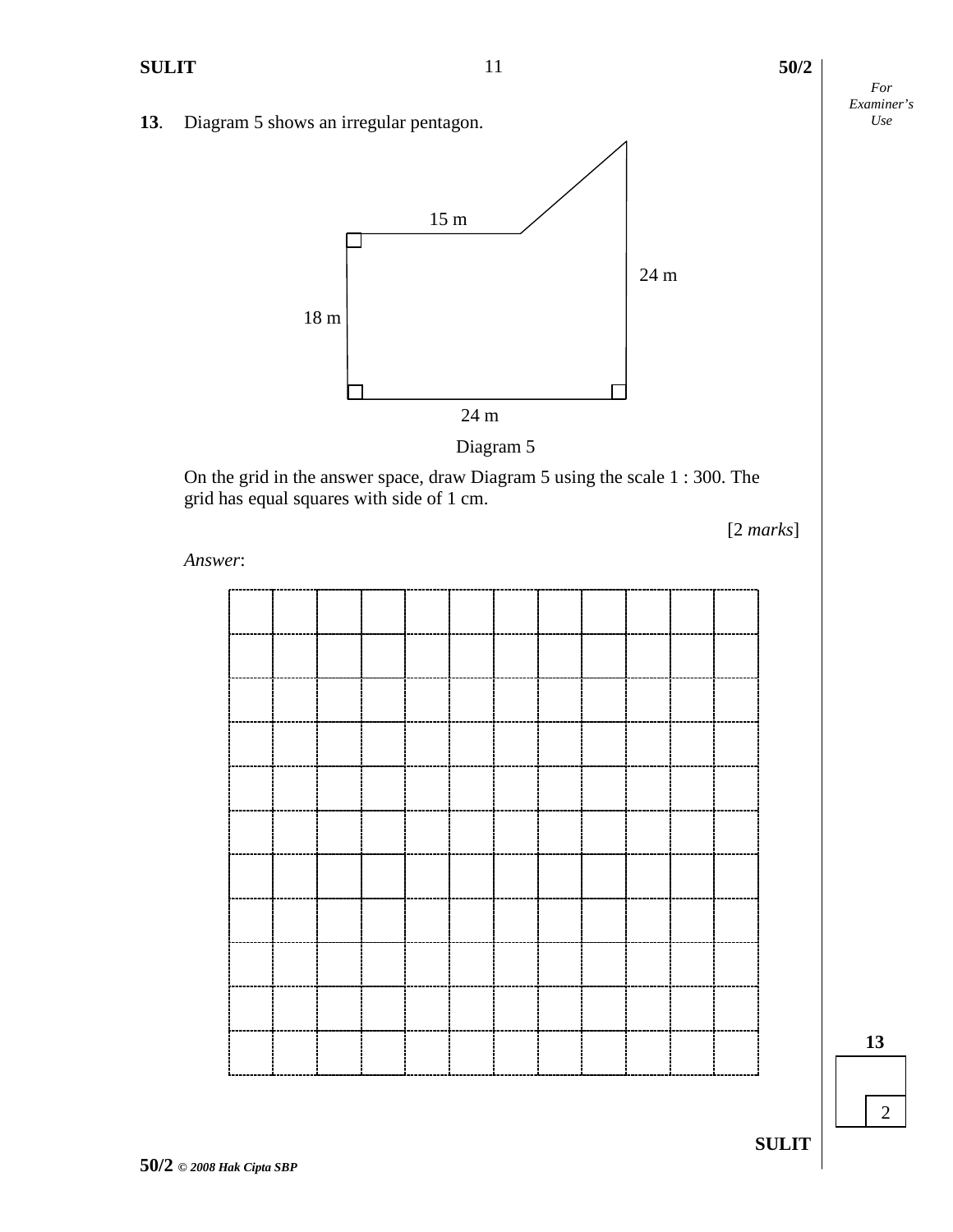**13** Diagram 5 shows an irregular pentagon.



On the grid in the answer space, draw Diagram 5 using the scale 1 : 300. The grid has equal squares with side of 1 cm.

[2 *marks*]

*Answer*:

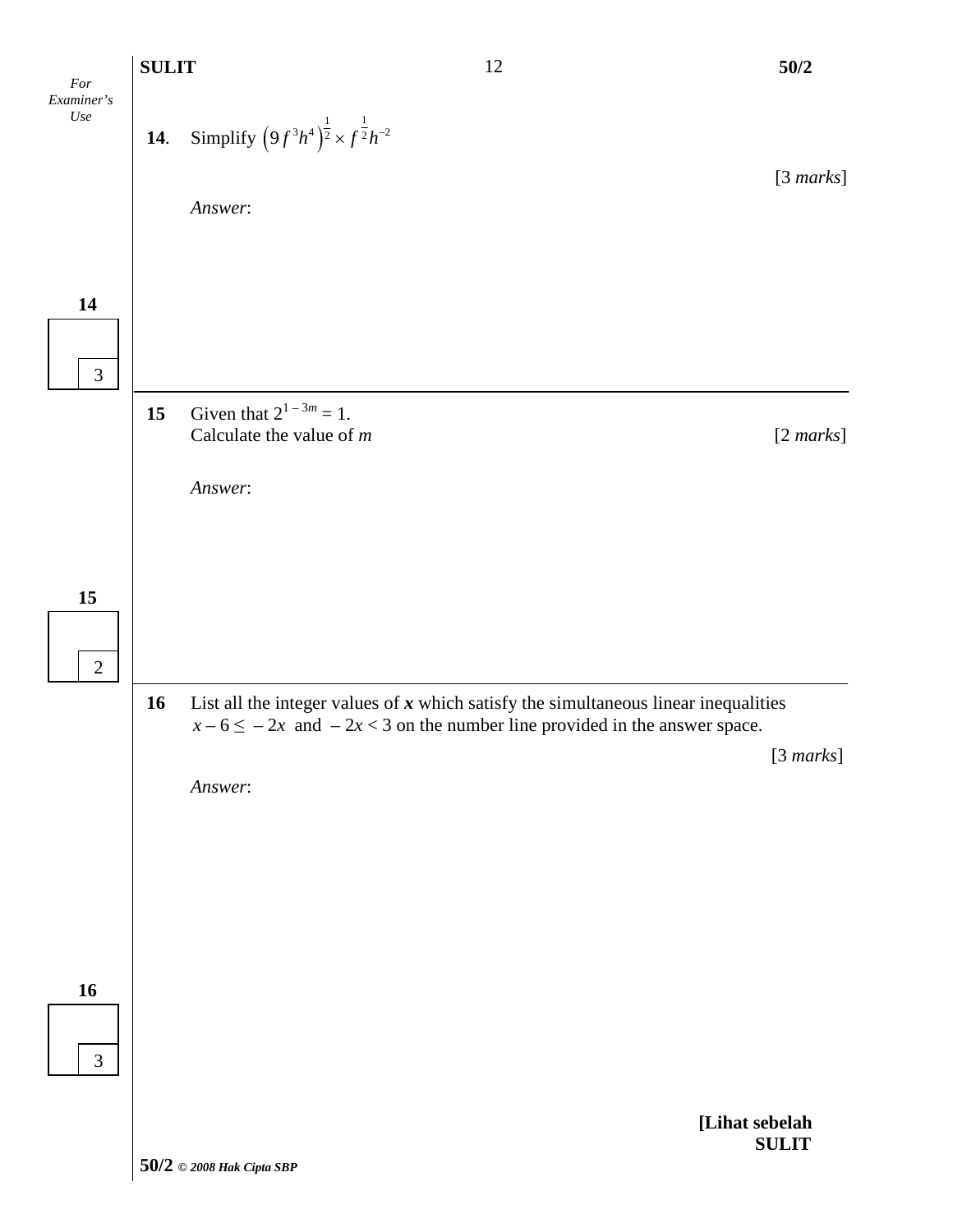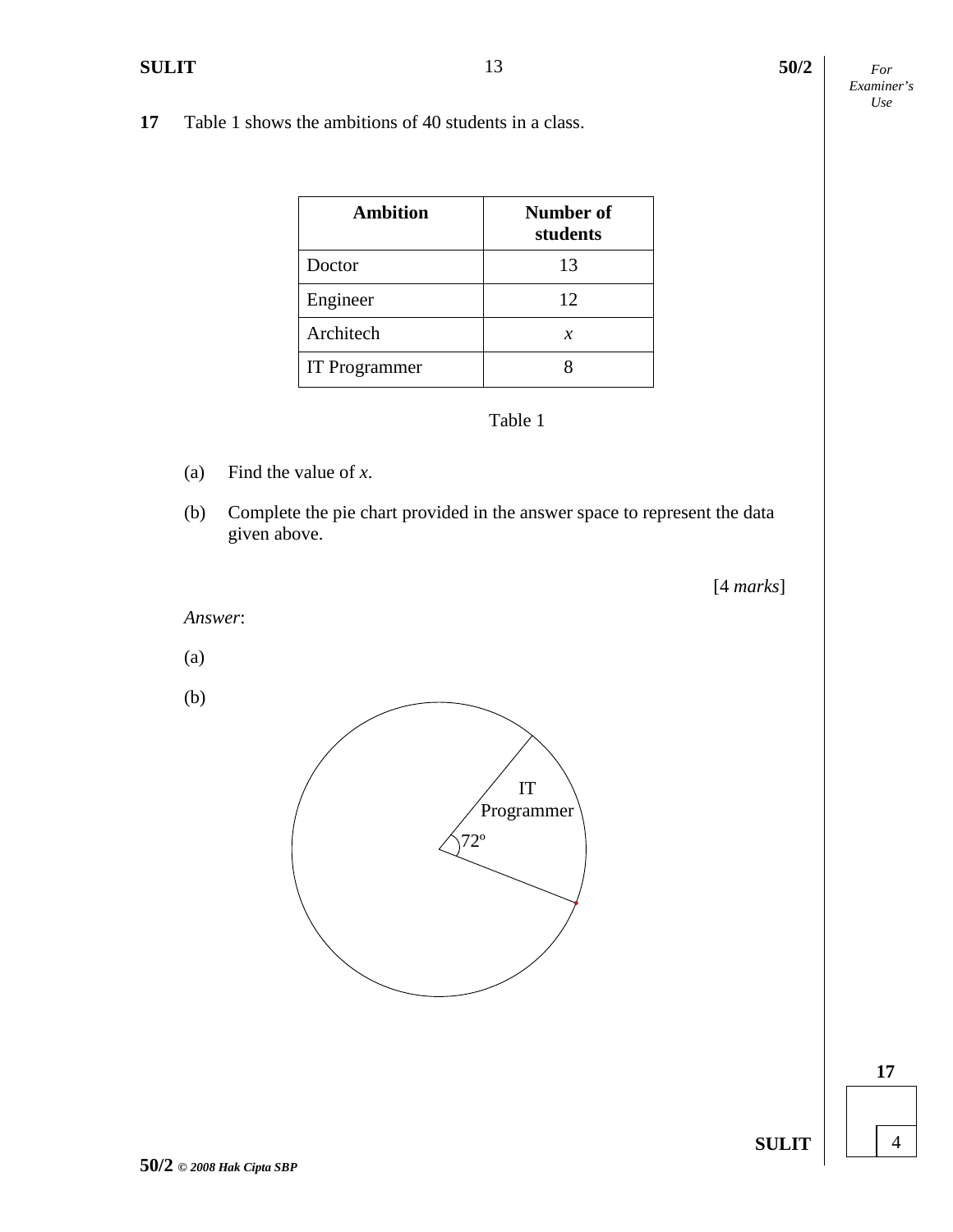**17** Table 1 shows the ambitions of 40 students in a class.

| <b>Ambition</b> | <b>Number of</b><br>students |
|-----------------|------------------------------|
| Doctor          | 13                           |
| Engineer        | 12                           |
| Architech       | х                            |
| IT Programmer   |                              |

# Table 1

- (a) Find the value of *x*.
- (b) Complete the pie chart provided in the answer space to represent the data given above.

[4 *marks*]

*Answer*:

(a)

(b)

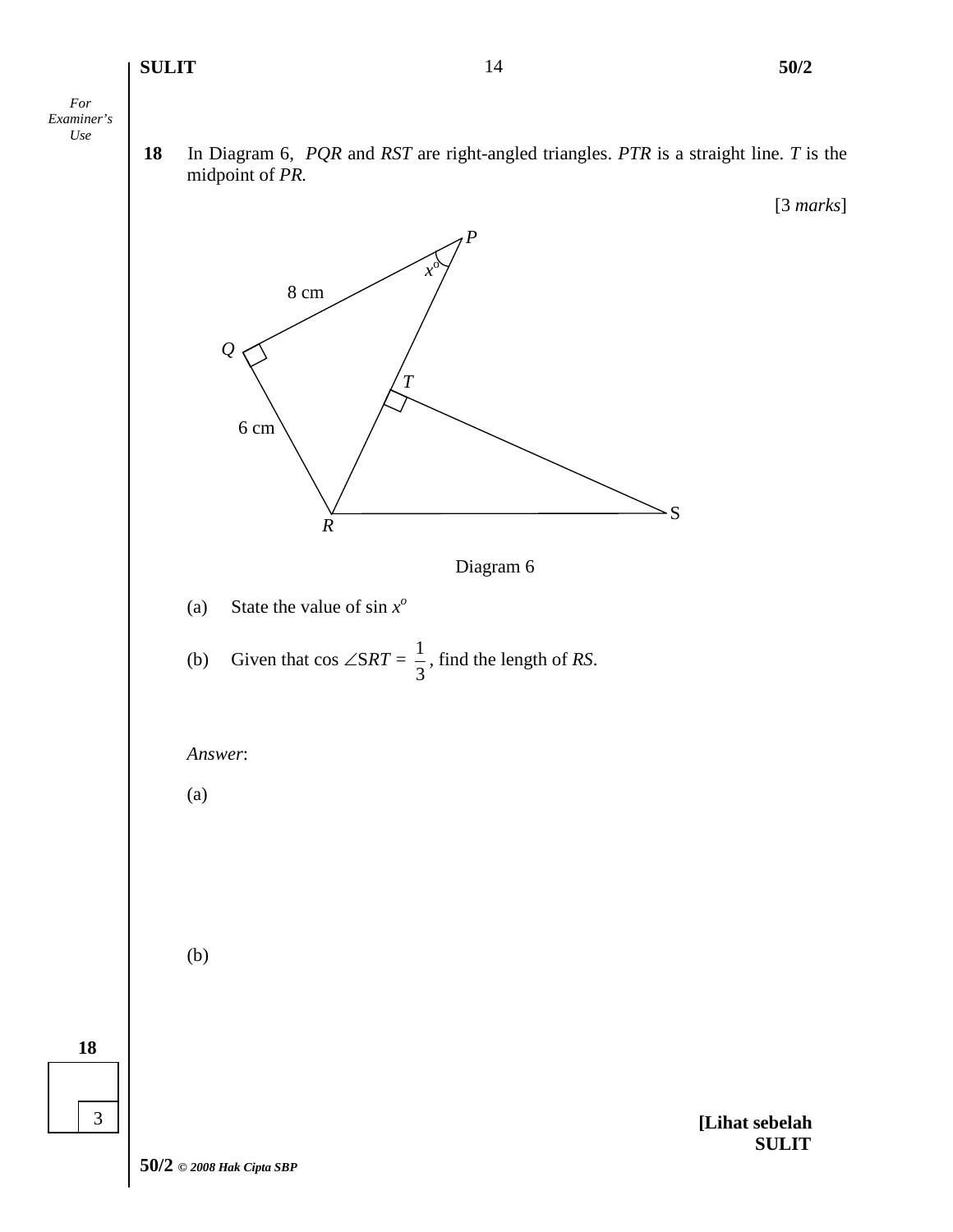#### **SULIT 50/2**

[3 *marks*]

*For Examiner's Use*

**18**

3

**18** In Diagram 6, *PQR* and *RST* are right-angled triangles. *PTR* is a straight line. *T* is the midpoint of *PR.*

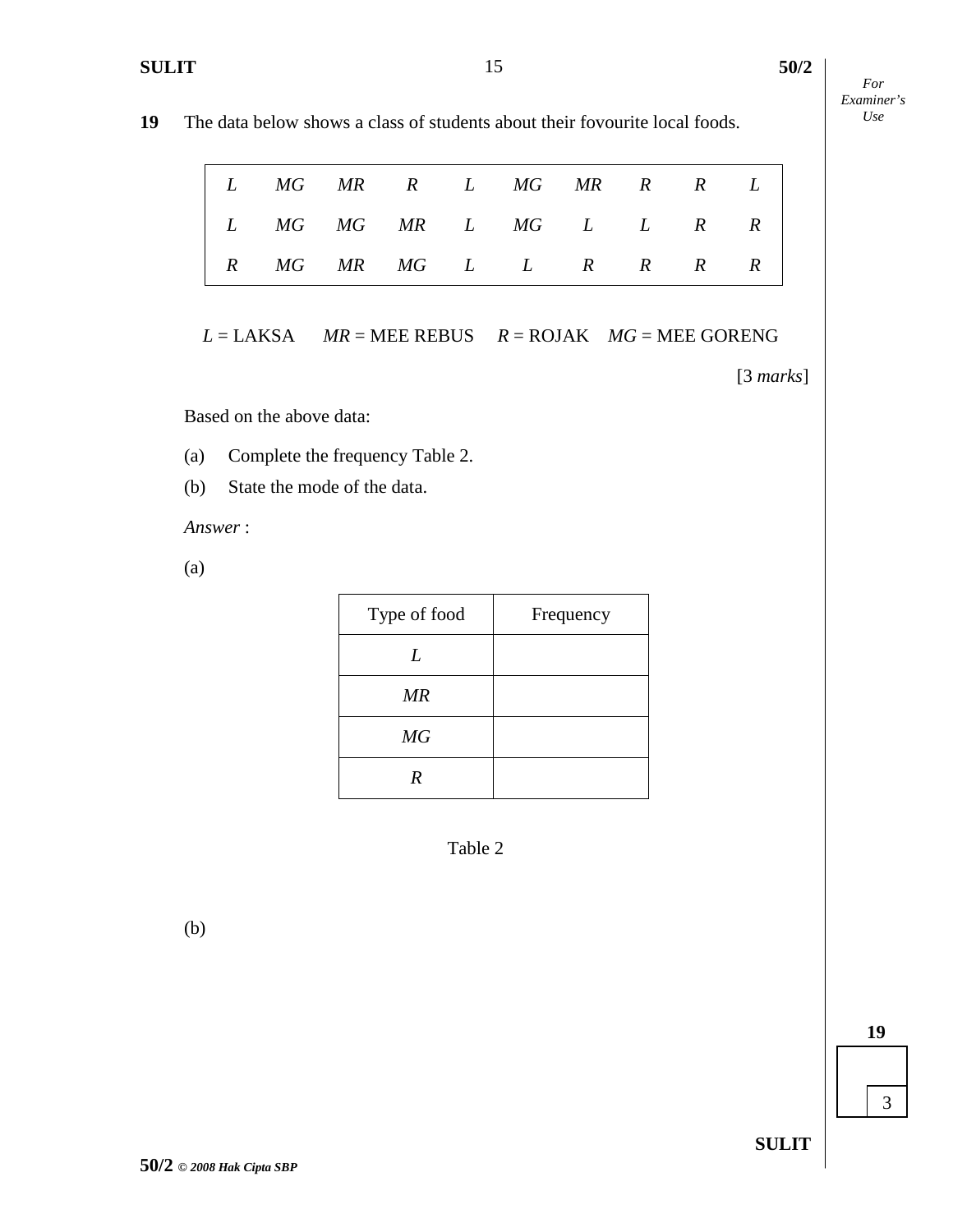*For Examiner's*

| <b>19</b> The data below shows a class of students about their fovourite local foods. |
|---------------------------------------------------------------------------------------|
|---------------------------------------------------------------------------------------|

|  | $L$ MG MR R $L$ MG MR R R $L$       |  |  |  |
|--|-------------------------------------|--|--|--|
|  | $L$ MG MG MR $L$ MG $L$ $L$ R R $ $ |  |  |  |
|  | R MG MR MG L L R R R R $ R $        |  |  |  |

*L* = LAKSA *MR* = MEE REBUS *R* = ROJAK *MG* = MEE GORENG

[3 *marks*]

Based on the above data:

- (a) Complete the frequency Table 2.
- (b) State the mode of the data.

*Answer* :

(a)

| Type of food | Frequency |
|--------------|-----------|
| L            |           |
| MR           |           |
| MG           |           |
| R            |           |



(b)

**19**